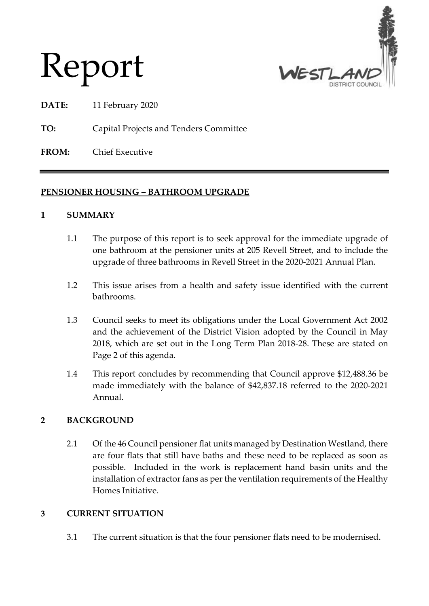



**DATE:** 11 February 2020

**TO:** Capital Projects and Tenders Committee

**FROM:** Chief Executive

## **PENSIONER HOUSING – BATHROOM UPGRADE**

#### **1 SUMMARY**

- 1.1 The purpose of this report is to seek approval for the immediate upgrade of one bathroom at the pensioner units at 205 Revell Street, and to include the upgrade of three bathrooms in Revell Street in the 2020-2021 Annual Plan.
- 1.2 This issue arises from a health and safety issue identified with the current bathrooms.
- 1.3 Council seeks to meet its obligations under the Local Government Act 2002 and the achievement of the District Vision adopted by the Council in May 2018, which are set out in the Long Term Plan 2018-28. These are stated on Page 2 of this agenda.
- 1.4 This report concludes by recommending that Council approve \$12,488.36 be made immediately with the balance of \$42,837.18 referred to the 2020-2021 Annual.

## **2 BACKGROUND**

2.1 Of the 46 Council pensioner flat units managed by Destination Westland, there are four flats that still have baths and these need to be replaced as soon as possible. Included in the work is replacement hand basin units and the installation of extractor fans as per the ventilation requirements of the Healthy Homes Initiative.

#### **3 CURRENT SITUATION**

3.1 The current situation is that the four pensioner flats need to be modernised.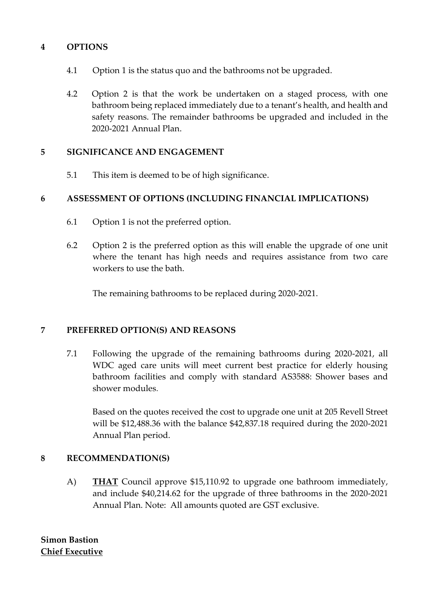### **4 OPTIONS**

- 4.1 Option 1 is the status quo and the bathrooms not be upgraded.
- 4.2 Option 2 is that the work be undertaken on a staged process, with one bathroom being replaced immediately due to a tenant's health, and health and safety reasons. The remainder bathrooms be upgraded and included in the 2020-2021 Annual Plan.

#### **5 SIGNIFICANCE AND ENGAGEMENT**

5.1 This item is deemed to be of high significance.

## **6 ASSESSMENT OF OPTIONS (INCLUDING FINANCIAL IMPLICATIONS)**

- 6.1 Option 1 is not the preferred option.
- 6.2 Option 2 is the preferred option as this will enable the upgrade of one unit where the tenant has high needs and requires assistance from two care workers to use the bath.

The remaining bathrooms to be replaced during 2020-2021.

#### **7 PREFERRED OPTION(S) AND REASONS**

7.1 Following the upgrade of the remaining bathrooms during 2020-2021, all WDC aged care units will meet current best practice for elderly housing bathroom facilities and comply with standard AS3588: Shower bases and shower modules.

Based on the quotes received the cost to upgrade one unit at 205 Revell Street will be \$12,488.36 with the balance \$42,837.18 required during the 2020-2021 Annual Plan period.

## **8 RECOMMENDATION(S)**

A) **THAT** Council approve \$15,110.92 to upgrade one bathroom immediately, and include \$40,214.62 for the upgrade of three bathrooms in the 2020-2021 Annual Plan. Note: All amounts quoted are GST exclusive.

**Simon Bastion Chief Executive**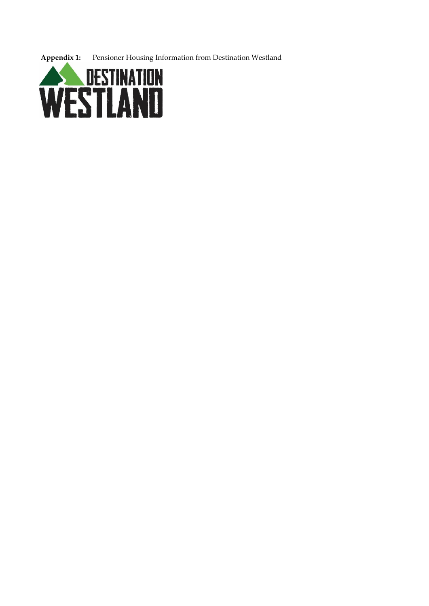**Appendix 1:** Pensioner Housing Information from Destination Westland

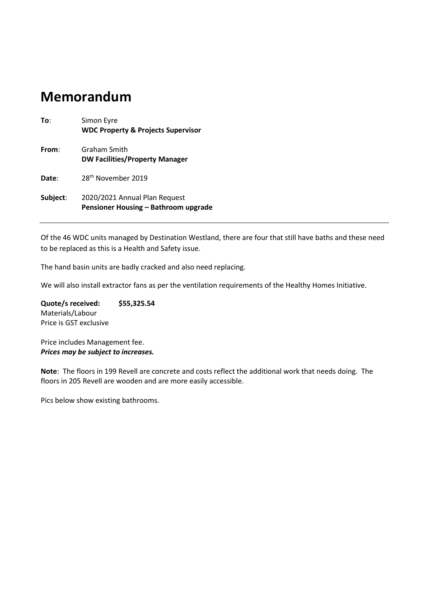# **Memorandum**

| To:      | Simon Eyre<br><b>WDC Property &amp; Projects Supervisor</b>           |
|----------|-----------------------------------------------------------------------|
| From:    | Graham Smith<br><b>DW Facilities/Property Manager</b>                 |
| Date:    | 28 <sup>th</sup> November 2019                                        |
| Subject: | 2020/2021 Annual Plan Request<br>Pensioner Housing - Bathroom upgrade |

Of the 46 WDC units managed by Destination Westland, there are four that still have baths and these need to be replaced as this is a Health and Safety issue.

The hand basin units are badly cracked and also need replacing.

We will also install extractor fans as per the ventilation requirements of the Healthy Homes Initiative.

**Quote/s received: \$55,325.54** Materials/Labour Price is GST exclusive

Price includes Management fee. *Prices may be subject to increases.* 

**Note**: The floors in 199 Revell are concrete and costs reflect the additional work that needs doing. The floors in 205 Revell are wooden and are more easily accessible.

Pics below show existing bathrooms.